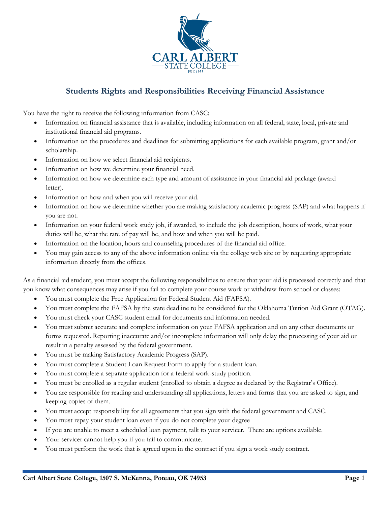

## **Students Rights and Responsibilities Receiving Financial Assistance**

You have the right to receive the following information from CASC:

- Information on financial assistance that is available, including information on all federal, state, local, private and institutional financial aid programs.
- Information on the procedures and deadlines for submitting applications for each available program, grant and/or scholarship.
- Information on how we select financial aid recipients.
- Information on how we determine your financial need.
- Information on how we determine each type and amount of assistance in your financial aid package (award letter).
- Information on how and when you will receive your aid.
- Information on how we determine whether you are making satisfactory academic progress (SAP) and what happens if you are not.
- Information on your federal work study job, if awarded, to include the job description, hours of work, what your duties will be, what the rate of pay will be, and how and when you will be paid.
- Information on the location, hours and counseling procedures of the financial aid office.
- You may gain access to any of the above information online via the college web site or by requesting appropriate information directly from the offices.

As a financial aid student, you must accept the following responsibilities to ensure that your aid is processed correctly and that you know what consequences may arise if you fail to complete your course work or withdraw from school or classes:

- You must complete the Free Application for Federal Student Aid (FAFSA).
- You must complete the FAFSA by the state deadline to be considered for the Oklahoma Tuition Aid Grant (OTAG).
- You must check your CASC student email for documents and information needed.
- You must submit accurate and complete information on your FAFSA application and on any other documents or forms requested. Reporting inaccurate and/or incomplete information will only delay the processing of your aid or result in a penalty assessed by the federal government.
- You must be making Satisfactory Academic Progress (SAP).
- You must complete a Student Loan Request Form to apply for a student loan.
- You must complete a separate application for a federal work-study position.
- You must be enrolled as a regular student (enrolled to obtain a degree as declared by the Registrar's Office).
- You are responsible for reading and understanding all applications, letters and forms that you are asked to sign, and keeping copies of them.
- You must accept responsibility for all agreements that you sign with the federal government and CASC.
- You must repay your student loan even if you do not complete your degree
- If you are unable to meet a scheduled loan payment, talk to your servicer. There are options available.
- Your servicer cannot help you if you fail to communicate.
- You must perform the work that is agreed upon in the contract if you sign a work study contract.